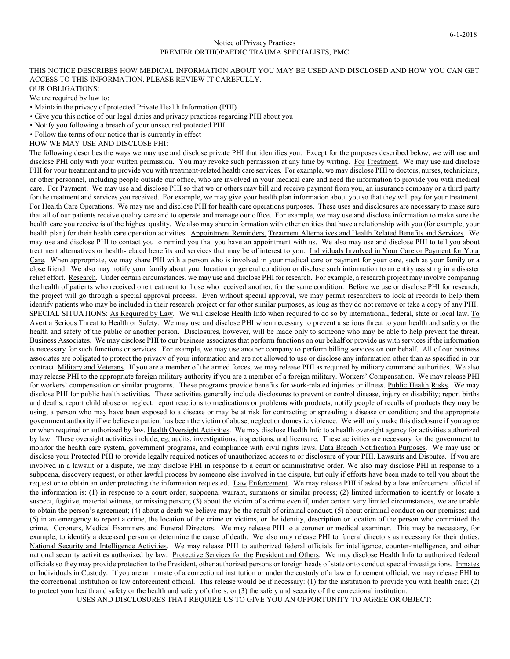## Notice of Privacy Practices PREMIER ORTHOPAEDIC TRAUMA SPECIALISTS, PMC

## THIS NOTICE DESCRIBES HOW MEDICAL INFORMATION ABOUT YOU MAY BE USED AND DISCLOSED AND HOW YOU CAN GET ACCESS TO THIS INFORMATION. PLEASE REVIEW IT CAREFULLY.

OUR OBLIGATIONS:

We are required by law to:

- Maintain the privacy of protected Private Health Information (PHI)
- Give you this notice of our legal duties and privacy practices regarding PHI about you
- Notify you following a breach of your unsecured protected PHI
- Follow the terms of our notice that is currently in effect

HOW WE MAY USE AND DISCLOSE PHI:

The following describes the ways we may use and disclose private PHI that identifies you. Except for the purposes described below, we will use and disclose PHI only with your written permission. You may revoke such permission at any time by writing. For Treatment. We may use and disclose PHI for your treatment and to provide you with treatment-related health care services. For example, we may disclose PHI to doctors, nurses, technicians, or other personnel, including people outside our office, who are involved in your medical care and need the information to provide you with medical care. For Payment. We may use and disclose PHI so that we or others may bill and receive payment from you, an insurance company or a third party for the treatment and services you received. For example, we may give your health plan information about you so that they will pay for your treatment. For Health Care Operations. We may use and disclose PHI for health care operations purposes. These uses and disclosures are necessary to make sure that all of our patients receive quality care and to operate and manage our office. For example, we may use and disclose information to make sure the health care you receive is of the highest quality. We also may share information with other entities that have a relationship with you (for example, your health plan) for their health care operation activities. Appointment Reminders, Treatment Alternatives and Health Related Benefits and Services. We may use and disclose PHI to contact you to remind you that you have an appointment with us. We also may use and disclose PHI to tell you about treatment alternatives or health-related benefits and services that may be of interest to you. Individuals Involved in Your Care or Payment for Your Care. When appropriate, we may share PHI with a person who is involved in your medical care or payment for your care, such as your family or a close friend. We also may notify your family about your location or general condition or disclose such information to an entity assisting in a disaster relief effort. Research. Under certain circumstances, we may use and disclose PHI for research. For example, a research project may involve comparing the health of patients who received one treatment to those who received another, for the same condition. Before we use or disclose PHI for research, the project will go through a special approval process. Even without special approval, we may permit researchers to look at records to help them identify patients who may be included in their research project or for other similar purposes, as long as they do not remove or take a copy of any PHI. SPECIAL SITUATIONS: As Required by Law. We will disclose Health Info when required to do so by international, federal, state or local law. To Avert a Serious Threat to Health or Safety. We may use and disclose PHI when necessary to prevent a serious threat to your health and safety or the health and safety of the public or another person. Disclosures, however, will be made only to someone who may be able to help prevent the threat. Business Associates. We may disclose PHI to our business associates that perform functions on our behalf or provide us with services if the information is necessary for such functions or services. For example, we may use another company to perform billing services on our behalf. All of our business associates are obligated to protect the privacy of your information and are not allowed to use or disclose any information other than as specified in our contract. Military and Veterans. If you are a member of the armed forces, we may release PHI as required by military command authorities. We also may release PHI to the appropriate foreign military authority if you are a member of a foreign military. Workers' Compensation. We may release PHI for workers' compensation or similar programs. These programs provide benefits for work-related injuries or illness. Public Health Risks. We may disclose PHI for public health activities. These activities generally include disclosures to prevent or control disease, injury or disability; report births and deaths; report child abuse or neglect; report reactions to medications or problems with products; notify people of recalls of products they may be using; a person who may have been exposed to a disease or may be at risk for contracting or spreading a disease or condition; and the appropriate government authority if we believe a patient has been the victim of abuse, neglect or domestic violence. We will only make this disclosure if you agree or when required or authorized by law. Health Oversight Activities. We may disclose Health Info to a health oversight agency for activities authorized by law. These oversight activities include, eg, audits, investigations, inspections, and licensure. These activities are necessary for the government to monitor the health care system, government programs, and compliance with civil rights laws. Data Breach Notification Purposes. We may use or disclose your Protected PHI to provide legally required notices of unauthorized access to or disclosure of your PHI. Lawsuits and Disputes. If you are involved in a lawsuit or a dispute, we may disclose PHI in response to a court or administrative order. We also may disclose PHI in response to a subpoena, discovery request, or other lawful process by someone else involved in the dispute, but only if efforts have been made to tell you about the request or to obtain an order protecting the information requested. Law Enforcement. We may release PHI if asked by a law enforcement official if the information is: (1) in response to a court order, subpoena, warrant, summons or similar process; (2) limited information to identify or locate a suspect, fugitive, material witness, or missing person; (3) about the victim of a crime even if, under certain very limited circumstances, we are unable to obtain the person's agreement; (4) about a death we believe may be the result of criminal conduct; (5) about criminal conduct on our premises; and (6) in an emergency to report a crime, the location of the crime or victims, or the identity, description or location of the person who committed the crime. Coroners, Medical Examiners and Funeral Directors. We may release PHI to a coroner or medical examiner. This may be necessary, for example, to identify a deceased person or determine the cause of death. We also may release PHI to funeral directors as necessary for their duties. National Security and Intelligence Activities. We may release PHI to authorized federal officials for intelligence, counter-intelligence, and other national security activities authorized by law. Protective Services for the President and Others. We may disclose Health Info to authorized federal officials so they may provide protection to the President, other authorized persons or foreign heads of state or to conduct special investigations. Inmates or Individuals in Custody. If you are an inmate of a correctional institution or under the custody of a law enforcement official, we may release PHI to the correctional institution or law enforcement official. This release would be if necessary: (1) for the institution to provide you with health care; (2) to protect your health and safety or the health and safety of others; or (3) the safety and security of the correctional institution.

USES AND DISCLOSURES THAT REQUIRE US TO GIVE YOU AN OPPORTUNITY TO AGREE OR OBJECT: